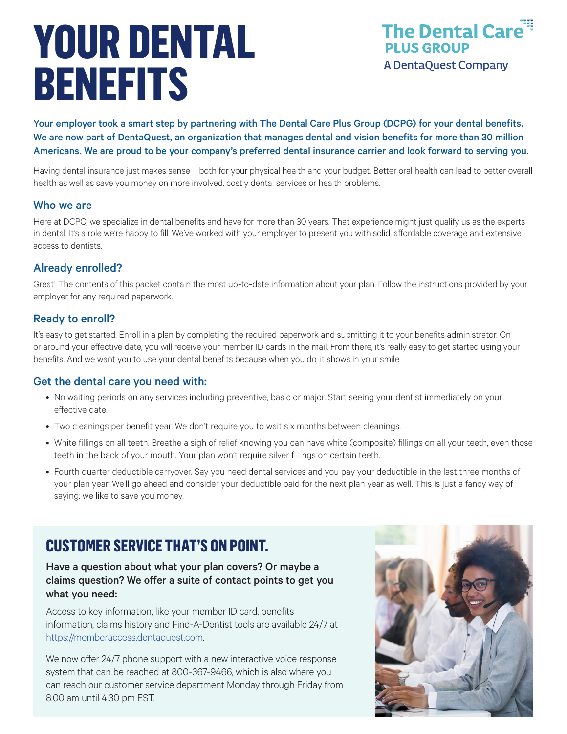# **YOUR DENTAL BENEFITS**



Your employer took a smart step by partnering with The Dental Care Plus Group (DCPG) for your dental benefits. We are now part of DentaQuest, an organization that manages dental and vision benefits for more than 30 million Americans. We are proud to be your company's preferred dental insurance carrier and look forward to serving you.

Having dental insurance just makes sense – both for your physical health and your budget. Better oral health can lead to better overall health as well as save you money on more involved, costly dental services or health problems.

#### Who we are

Here at DCPG, we specialize in dental benefits and have for more than 30 years. That experience might just qualify us as the experts in dental. It's a role we're happy to fill. We've worked with your employer to present you with solid, affordable coverage and extensive access to dentists.

#### Already enrolled?

Great! The contents of this packet contain the most up-to-date information about your plan. Follow the instructions provided by your employer for any required paperwork.

#### Ready to enroll?

It's easy to get started. Enroll in a plan by completing the required paperwork and submitting it to your benefits administrator. On or around your effective date, you will receive your member ID cards in the mail. From there, it's really easy to get started using your benefits. And we want you to use your dental benefits because when you do, it shows in your smile.

#### Get the dental care you need with:

- No waiting periods on any services including preventive, basic or major. Start seeing your dentist immediately on your effective date.
- Two cleanings per benefit year. We don't require you to wait six months between cleanings.
- White fillings on all teeth. Breathe a sigh of relief knowing you can have white (composite) fillings on all your teeth, even those teeth in the back of your mouth. Your plan won't require silver fillings on certain teeth.
- Fourth quarter deductible carryover. Say you need dental services and you pay your deductible in the last three months of your plan year. We'll go ahead and consider your deductible paid for the next plan year as well. This is just a fancy way of saying: we like to save you money.

## **CUSTOMER SERVICE THAT'S ON POINT.**

#### Have a question about what your plan covers? Or maybe a claims question? We offer a suite of contact points to get you what you need:

Access to key information, like your member ID card, benefits information, claims history and Find-A-Dentist tools are available 24/7 at https://memberaccess.dentaquest.com.

We now offer 24/7 phone support with a new interactive voice response system that can be reached at 800-367-9466, which is also where you can reach our customer service department Monday through Friday from 8:00 am until 4:30 pm EST.